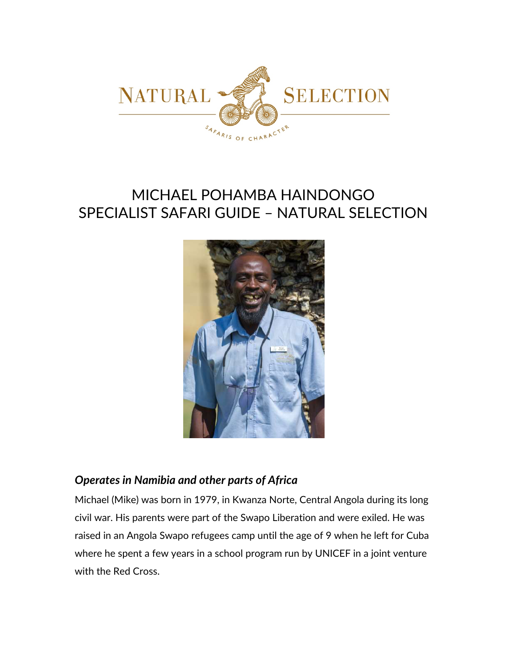

# MICHAEL POHAMBA HAINDONGO SPECIALIST SAFARI GUIDE – NATURAL SELECTION



# *Operates in Namibia and other parts of Africa*

Michael (Mike) was born in 1979, in Kwanza Norte, Central Angola during its long civil war. His parents were part of the Swapo Liberation and were exiled. He was raised in an Angola Swapo refugees camp until the age of 9 when he left for Cuba where he spent a few years in a school program run by UNICEF in a joint venture with the Red Cross.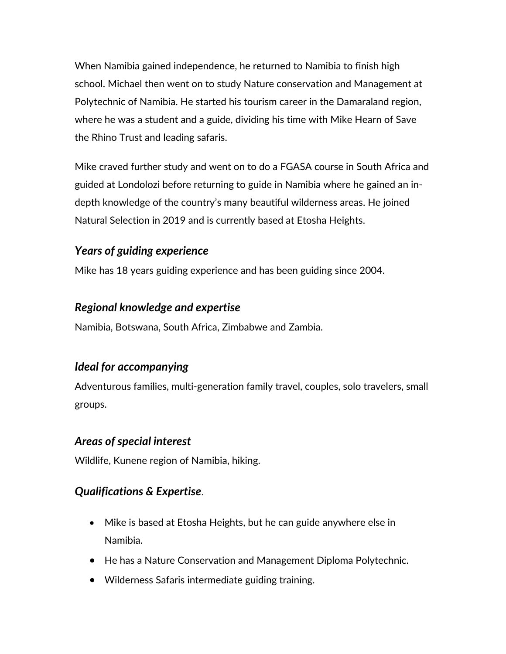When Namibia gained independence, he returned to Namibia to finish high school. Michael then went on to study Nature conservation and Management at Polytechnic of Namibia. He started his tourism career in the Damaraland region, where he was a student and a guide, dividing his time with Mike Hearn of Save the Rhino Trust and leading safaris.

Mike craved further study and went on to do a FGASA course in South Africa and guided at Londolozi before returning to guide in Namibia where he gained an indepth knowledge of the country's many beautiful wilderness areas. He joined Natural Selection in 2019 and is currently based at Etosha Heights.

## *Years of guiding experience*

Mike has 18 years guiding experience and has been guiding since 2004.

## *Regional knowledge and expertise*

Namibia, Botswana, South Africa, Zimbabwe and Zambia.

# *Ideal for accompanying*

Adventurous families, multi-generation family travel, couples, solo travelers, small groups.

## *Areas of special interest*

Wildlife, Kunene region of Namibia, hiking.

# *Qualifications & Expertise*.

- Mike is based at Etosha Heights, but he can guide anywhere else in Namibia.
- He has a Nature Conservation and Management Diploma Polytechnic.
- Wilderness Safaris intermediate guiding training.